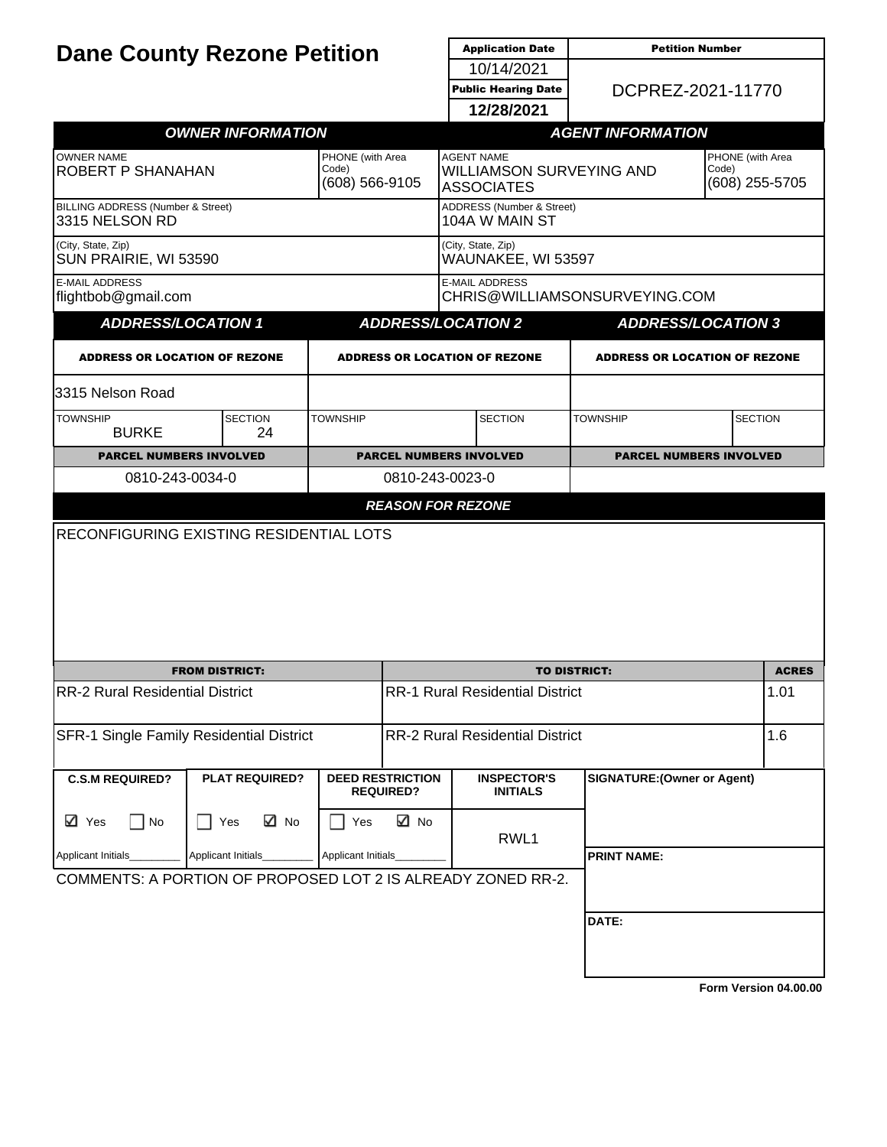| <b>Dane County Rezone Petition</b>                           |                                          |                                             |                                             | <b>Application Date</b>                                            | <b>Petition Number</b>               |                                             |  |
|--------------------------------------------------------------|------------------------------------------|---------------------------------------------|---------------------------------------------|--------------------------------------------------------------------|--------------------------------------|---------------------------------------------|--|
|                                                              |                                          |                                             |                                             | 10/14/2021                                                         |                                      |                                             |  |
|                                                              |                                          |                                             |                                             | <b>Public Hearing Date</b>                                         | DCPREZ-2021-11770                    |                                             |  |
|                                                              |                                          |                                             |                                             | 12/28/2021                                                         |                                      |                                             |  |
|                                                              | <b>OWNER INFORMATION</b>                 |                                             |                                             |                                                                    | <b>AGENT INFORMATION</b>             |                                             |  |
| <b>OWNER NAME</b><br>ROBERT P SHANAHAN                       |                                          | PHONE (with Area<br>Code)<br>(608) 566-9105 |                                             | <b>AGENT NAME</b><br>WILLIAMSON SURVEYING AND<br><b>ASSOCIATES</b> |                                      | PHONE (with Area<br>Code)<br>(608) 255-5705 |  |
| BILLING ADDRESS (Number & Street)<br>3315 NELSON RD          |                                          |                                             |                                             | ADDRESS (Number & Street)<br>104A W MAIN ST                        |                                      |                                             |  |
| (City, State, Zip)<br>SUN PRAIRIE, WI 53590                  |                                          |                                             | (City, State, Zip)<br>WAUNAKEE, WI 53597    |                                                                    |                                      |                                             |  |
| <b>E-MAIL ADDRESS</b><br>flightbob@gmail.com                 |                                          |                                             |                                             | <b>E-MAIL ADDRESS</b>                                              | CHRIS@WILLIAMSONSURVEYING.COM        |                                             |  |
| <b>ADDRESS/LOCATION 1</b>                                    |                                          |                                             |                                             | <b>ADDRESS/LOCATION 2</b>                                          | <b>ADDRESS/LOCATION 3</b>            |                                             |  |
| <b>ADDRESS OR LOCATION OF REZONE</b>                         |                                          |                                             |                                             | <b>ADDRESS OR LOCATION OF REZONE</b>                               | <b>ADDRESS OR LOCATION OF REZONE</b> |                                             |  |
| 3315 Nelson Road                                             |                                          |                                             |                                             |                                                                    |                                      |                                             |  |
| <b>TOWNSHIP</b><br><b>BURKE</b>                              | <b>SECTION</b><br>24                     | <b>TOWNSHIP</b>                             |                                             | <b>SECTION</b>                                                     | <b>TOWNSHIP</b>                      | <b>SECTION</b>                              |  |
| <b>PARCEL NUMBERS INVOLVED</b>                               |                                          |                                             |                                             | <b>PARCEL NUMBERS INVOLVED</b>                                     | <b>PARCEL NUMBERS INVOLVED</b>       |                                             |  |
| 0810-243-0034-0                                              |                                          |                                             | 0810-243-0023-0                             |                                                                    |                                      |                                             |  |
|                                                              |                                          |                                             | <b>REASON FOR REZONE</b>                    |                                                                    |                                      |                                             |  |
|                                                              |                                          |                                             |                                             |                                                                    |                                      |                                             |  |
| <b>FROM DISTRICT:</b>                                        |                                          |                                             | <b>TO DISTRICT:</b>                         |                                                                    |                                      | <b>ACRES</b>                                |  |
| <b>RR-2 Rural Residential District</b>                       |                                          |                                             | <b>RR-1 Rural Residential District</b>      |                                                                    |                                      | 1.01                                        |  |
| SFR-1 Single Family Residential District                     |                                          |                                             | <b>RR-2 Rural Residential District</b>      |                                                                    |                                      | 1.6                                         |  |
| <b>C.S.M REQUIRED?</b>                                       | <b>PLAT REQUIRED?</b>                    |                                             | <b>DEED RESTRICTION</b><br><b>REQUIRED?</b> | <b>INSPECTOR'S</b><br><b>INITIALS</b>                              | <b>SIGNATURE: (Owner or Agent)</b>   |                                             |  |
| ⊠ Yes<br>    No                                              | ⊠ No<br>Yes<br>$\blacksquare$            | Yes                                         | ⊠ No                                        | RWL1                                                               |                                      |                                             |  |
| Applicant Initials                                           | Applicant Initials<br>Applicant Initials |                                             |                                             | <b>PRINT NAME:</b>                                                 |                                      |                                             |  |
| COMMENTS: A PORTION OF PROPOSED LOT 2 IS ALREADY ZONED RR-2. |                                          |                                             |                                             |                                                                    |                                      |                                             |  |
|                                                              |                                          |                                             |                                             |                                                                    | DATE:                                |                                             |  |
|                                                              |                                          |                                             |                                             |                                                                    |                                      |                                             |  |

**[Form Version 04.00.00](http://sql2008-reports/Reports/Pages/Resource.aspx?ItemPath=%2fDocumentation%2fReport+Index.docx)**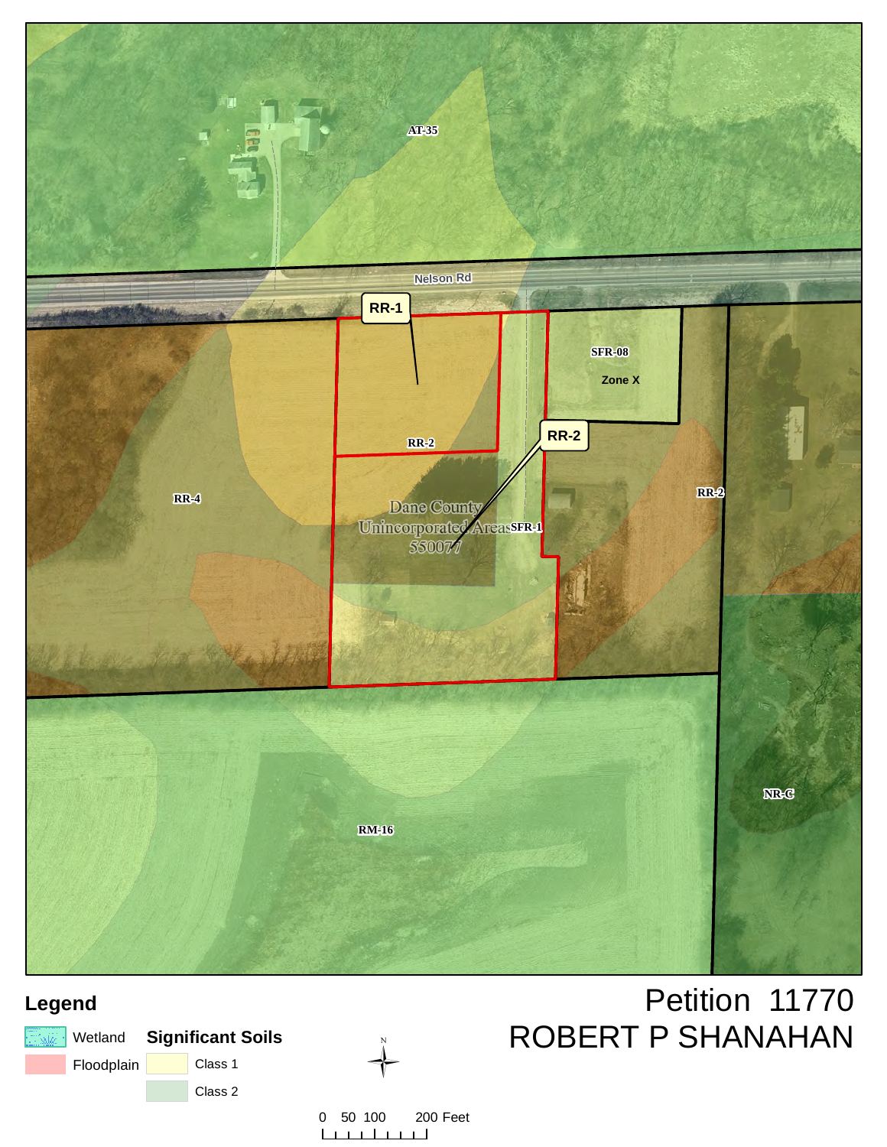

# **Legend**

|            | <b>Exiz Wetland</b> Significant Soils |  |  |
|------------|---------------------------------------|--|--|
| Floodplain | Class 1                               |  |  |
|            | Class 2                               |  |  |



0 50 100 200 Feet  $1 - 1 - 1 = 1$  $\Box$  $\mathbf{I}$ 

# Petition 11770 ROBERT P SHANAHAN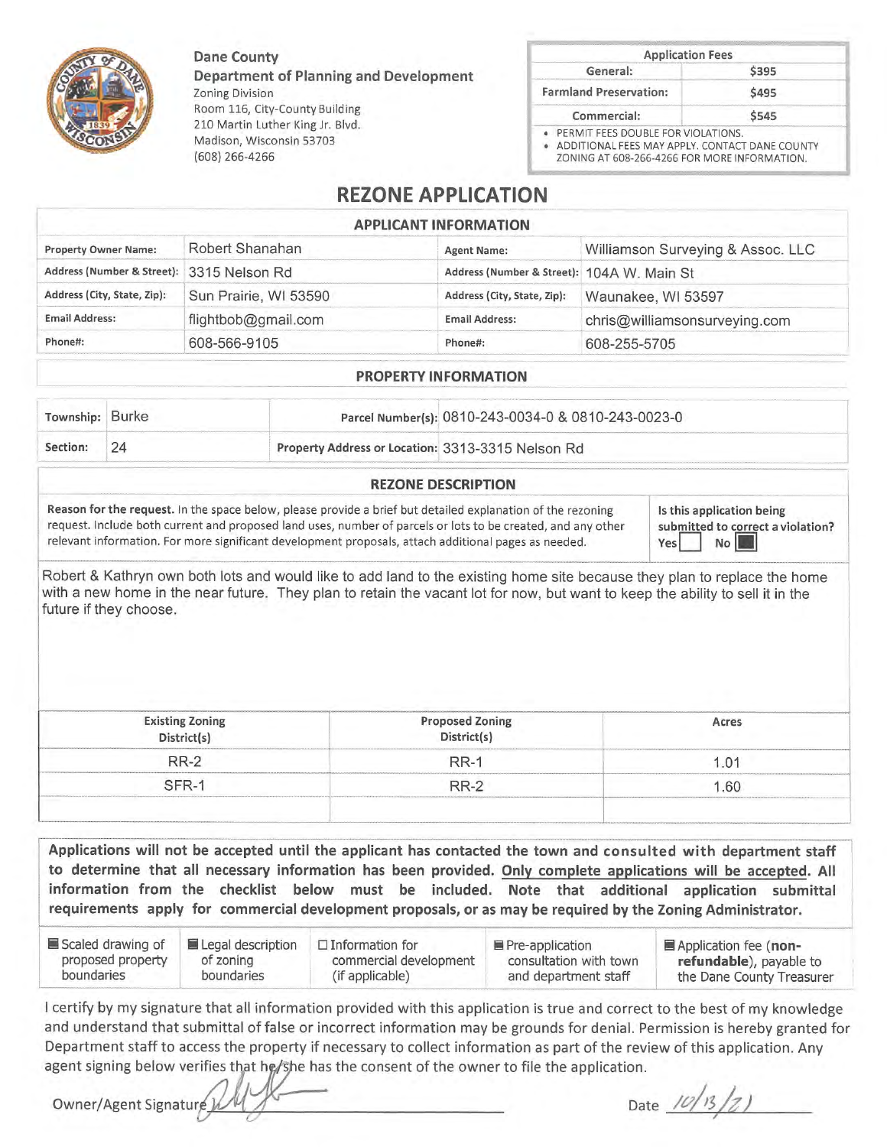Dane County

Department of Planning and Development **Zoning Division** Room 116, City-County Building 210 Martin Luther King Jr. Blvd. Madison, Wisconsin 53703  $(608)$  266-4266

|                               | <b>Application Fees</b> |  |
|-------------------------------|-------------------------|--|
| General:                      | \$395                   |  |
| <b>Farmland Preservation:</b> | \$495                   |  |
| Commercial:                   | \$545                   |  |

ADDITIONAL FEES MAY APPLY. CONTACT DANE COUNTY ZONING AT 608-266-4266 FOR MORE INFORMATION.

# **REZONE APPLICATION**

#### **APPLICANT INFORMATION**

| <b>Property Owner Name:</b>               | Robert Shanahan       | <b>Agent Name:</b>                         | Williamson Surveying & Assoc. LLC |
|-------------------------------------------|-----------------------|--------------------------------------------|-----------------------------------|
| Address (Number & Street): 3315 Nelson Rd |                       | Address (Number & Street): 104A W. Main St |                                   |
| Address (City, State, Zip):               | Sun Prairie, WI 53590 | Address (City, State, Zip):                | Waunakee, WI 53597                |
| <b>Email Address:</b>                     | flightbob@gmail.com   | <b>Email Address:</b>                      | chris@williamsonsurveying.com     |
| Phone#:                                   | 608-566-9105          | Phone#:                                    | 608-255-5705                      |

#### **PROPERTY INFORMATION**

| Township: | <b>Burke</b> |                                                   | Parcel Number(s): 0810-243-0034-0 & 0810-243-0023-0 |  |
|-----------|--------------|---------------------------------------------------|-----------------------------------------------------|--|
| Section:  |              | Property Address or Location: 3313-3315 Nelson Rd |                                                     |  |
|           |              |                                                   |                                                     |  |

#### **REZONE DESCRIPTION**

Reason for the request. In the space below, please provide a brief but detailed explanation of the rezoning request. Include both current and proposed land uses, number of parcels or lots to be created, and any other relevant information. For more significant development proposals, attach additional pages as needed.

Is this application being submitted to correct a violation?  $No$ Yes

Robert & Kathryn own both lots and would like to add land to the existing home site because they plan to replace the home with a new home in the near future. They plan to retain the vacant lot for now, but want to keep the ability to sell it in the future if they choose.

| <b>Existing Zoning</b><br>District(s) | <b>Proposed Zoning<br/>District(s)</b> | Acres |
|---------------------------------------|----------------------------------------|-------|
| <b>RR-2</b>                           | RR-                                    |       |
|                                       | <b>RR-2</b>                            | 60    |
|                                       |                                        |       |

Applications will not be accepted until the applicant has contacted the town and consulted with department staff to determine that all necessary information has been provided. Only complete applications will be accepted. All information from the checklist below must be included. Note that additional application submittal requirements apply for commercial development proposals, or as may be required by the Zoning Administrator.

| Scaled drawing of | Legal description | $\Box$ Information for | ■ Pre-application      | Application fee (non-     |
|-------------------|-------------------|------------------------|------------------------|---------------------------|
| proposed property | of zoning         | commercial development | consultation with town | refundable), payable to   |
| boundaries        | boundaries        | (if applicable)        | and department staff   | the Dane County Treasurer |

I certify by my signature that all information provided with this application is true and correct to the best of my knowledge and understand that submittal of false or incorrect information may be grounds for denial. Permission is hereby granted for Department staff to access the property if necessary to collect information as part of the review of this application. Any agent signing below verifies that he/she has the consent of the owner to file the application.

Owner/Agent Signatur

Date  $10/13/2)$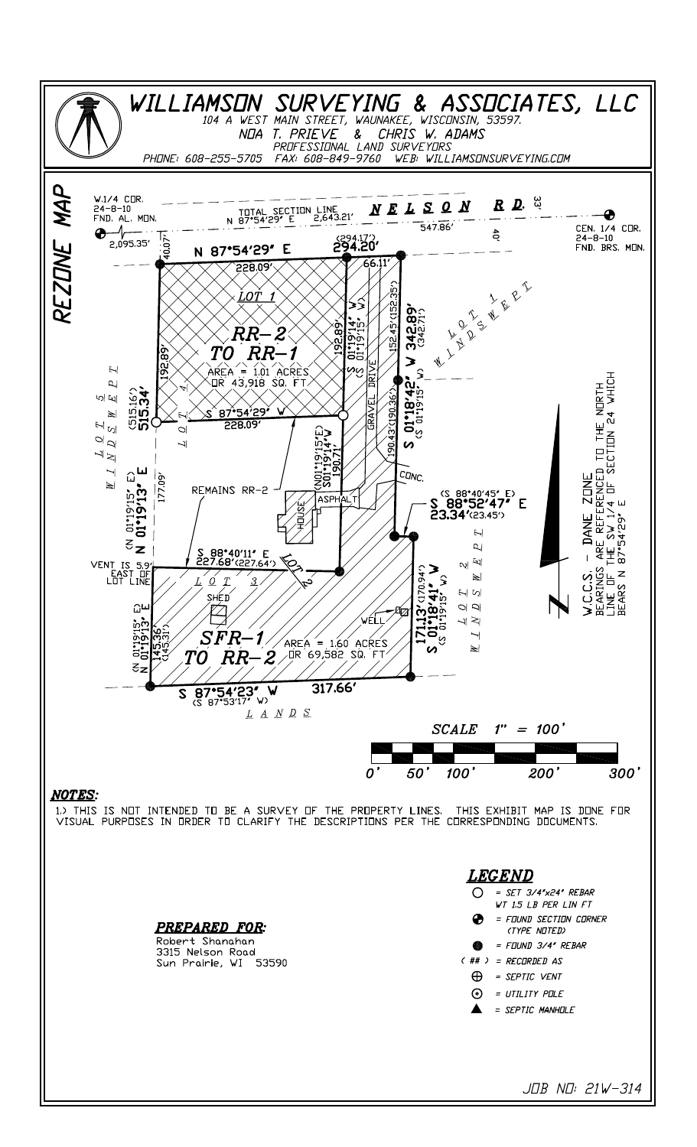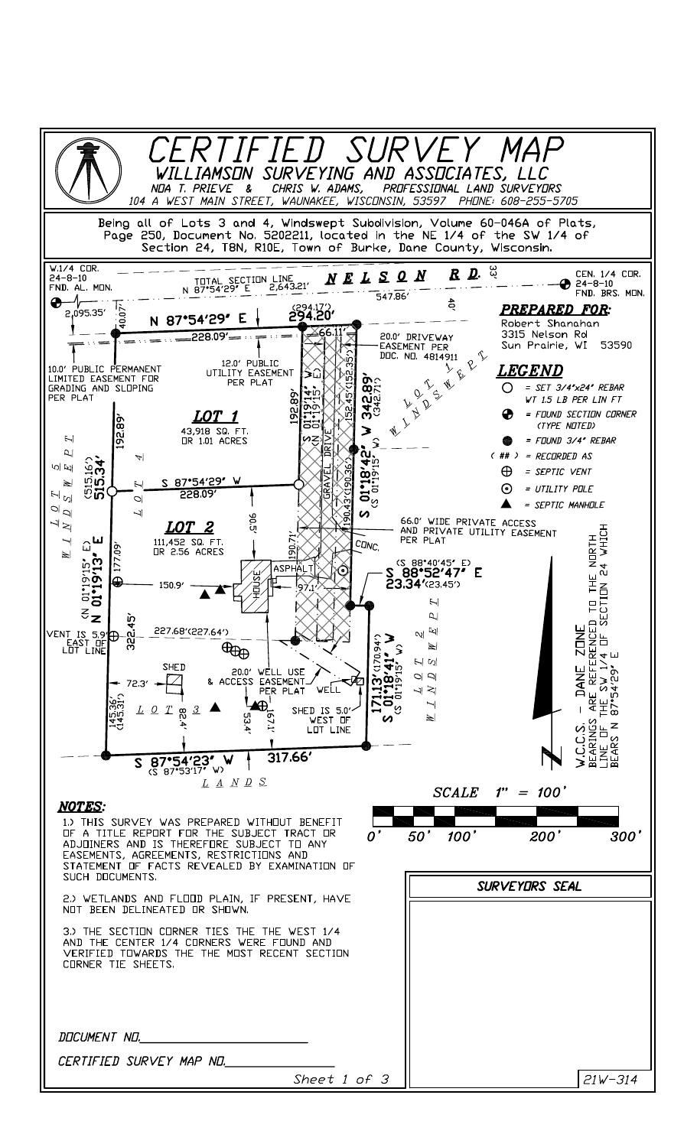